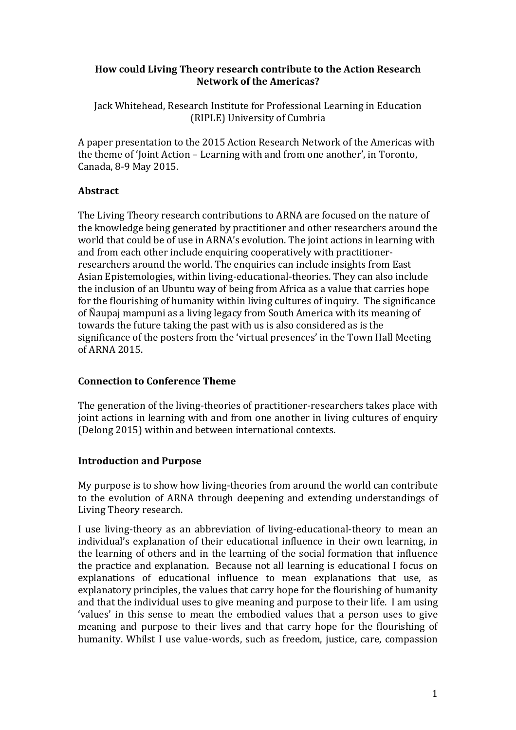### **How could Living Theory research contribute to the Action Research Network of the Americas?**

Jack Whitehead, Research Institute for Professional Learning in Education (RIPLE) University of Cumbria

A paper presentation to the 2015 Action Research Network of the Americas with the theme of 'Joint Action – Learning with and from one another', in Toronto, Canada, 8-9 May 2015.

## **Abstract**

The Living Theory research contributions to ARNA are focused on the nature of the knowledge being generated by practitioner and other researchers around the world that could be of use in ARNA's evolution. The joint actions in learning with and from each other include enquiring cooperatively with practitionerresearchers around the world. The enquiries can include insights from East Asian Epistemologies, within living-educational-theories. They can also include the inclusion of an Ubuntu way of being from Africa as a value that carries hope for the flourishing of humanity within living cultures of inquiry. The significance of Naupaj mampuni as a living legacy from South America with its meaning of towards the future taking the past with us is also considered as is the significance of the posters from the 'virtual presences' in the Town Hall Meeting of ARNA 2015.

### **Connection to Conference Theme**

The generation of the living-theories of practitioner-researchers takes place with joint actions in learning with and from one another in living cultures of enquiry (Delong 2015) within and between international contexts.

### **Introduction and Purpose**

My purpose is to show how living-theories from around the world can contribute to the evolution of ARNA through deepening and extending understandings of Living Theory research.

I use living-theory as an abbreviation of living-educational-theory to mean an individual's explanation of their educational influence in their own learning, in the learning of others and in the learning of the social formation that influence the practice and explanation. Because not all learning is educational I focus on explanations of educational influence to mean explanations that use, as explanatory principles, the values that carry hope for the flourishing of humanity and that the individual uses to give meaning and purpose to their life. I am using 'values' in this sense to mean the embodied values that a person uses to give meaning and purpose to their lives and that carry hope for the flourishing of humanity. Whilst I use value-words, such as freedom, justice, care, compassion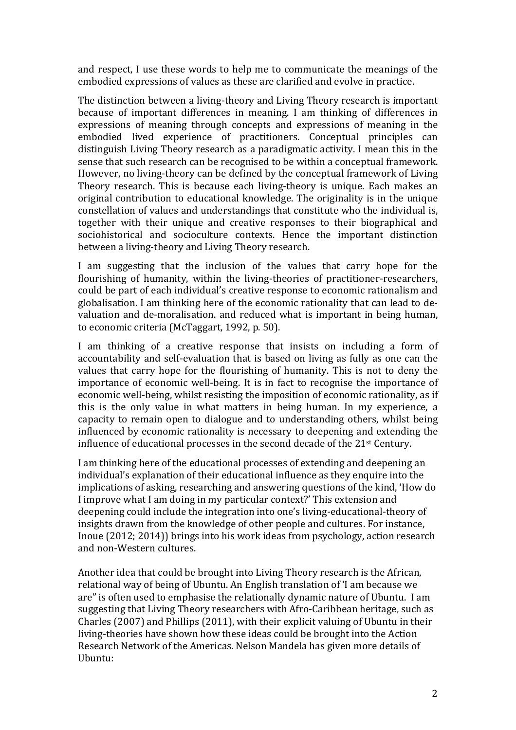and respect, I use these words to help me to communicate the meanings of the embodied expressions of values as these are clarified and evolve in practice.

The distinction between a living-theory and Living Theory research is important because of important differences in meaning. I am thinking of differences in expressions of meaning through concepts and expressions of meaning in the embodied lived experience of practitioners. Conceptual principles can distinguish Living Theory research as a paradigmatic activity. I mean this in the sense that such research can be recognised to be within a conceptual framework. However, no living-theory can be defined by the conceptual framework of Living Theory research. This is because each living-theory is unique. Each makes an original contribution to educational knowledge. The originality is in the unique constellation of values and understandings that constitute who the individual is, together with their unique and creative responses to their biographical and sociohistorical and socioculture contexts. Hence the important distinction between a living-theory and Living Theory research.

I am suggesting that the inclusion of the values that carry hope for the flourishing of humanity, within the living-theories of practitioner-researchers, could be part of each individual's creative response to economic rationalism and globalisation. I am thinking here of the economic rationality that can lead to devaluation and de-moralisation. and reduced what is important in being human, to economic criteria (McTaggart, 1992, p. 50).

I am thinking of a creative response that insists on including a form of accountability and self-evaluation that is based on living as fully as one can the values that carry hope for the flourishing of humanity. This is not to deny the importance of economic well-being. It is in fact to recognise the importance of economic well-being, whilst resisting the imposition of economic rationality, as if this is the only value in what matters in being human. In my experience, a capacity to remain open to dialogue and to understanding others, whilst being influenced by economic rationality is necessary to deepening and extending the influence of educational processes in the second decade of the  $21<sup>st</sup>$  Century.

I am thinking here of the educational processes of extending and deepening an individual's explanation of their educational influence as they enquire into the implications of asking, researching and answering questions of the kind, 'How do I improve what I am doing in my particular context?' This extension and deepening could include the integration into one's living-educational-theory of insights drawn from the knowledge of other people and cultures. For instance, Inoue  $(2012; 2014)$  brings into his work ideas from psychology, action research and non-Western cultures.

Another idea that could be brought into Living Theory research is the African, relational way of being of Ubuntu. An English translation of 'I am because we are" is often used to emphasise the relationally dynamic nature of Ubuntu. I am suggesting that Living Theory researchers with Afro-Caribbean heritage, such as Charles  $(2007)$  and Phillips  $(2011)$ , with their explicit valuing of Ubuntu in their living-theories have shown how these ideas could be brought into the Action Research Network of the Americas. Nelson Mandela has given more details of Ubuntu: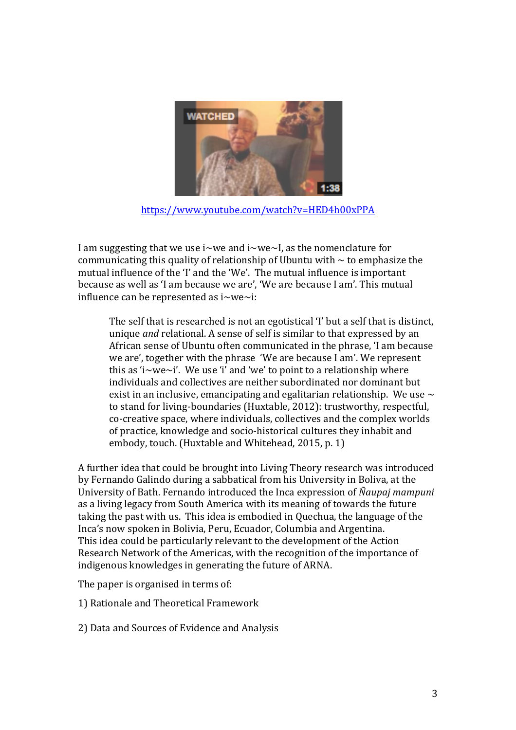

https://www.youtube.com/watch?v=HED4h00xPPA

I am suggesting that we use i~we and i~we~I, as the nomenclature for communicating this quality of relationship of Ubuntu with  $\sim$  to emphasize the mutual influence of the 'I' and the 'We'. The mutual influence is important because as well as 'I am because we are', 'We are because I am'. This mutual influence can be represented as  $i$ ~we~i:

The self that is researched is not an egotistical 'I' but a self that is distinct, unique *and* relational. A sense of self is similar to that expressed by an African sense of Ubuntu often communicated in the phrase, 'I am because we are', together with the phrase 'We are because I am'. We represent this as 'i~we~i'. We use 'i' and 'we' to point to a relationship where individuals and collectives are neither subordinated nor dominant but exist in an inclusive, emancipating and egalitarian relationship. We use  $\sim$ to stand for living-boundaries (Huxtable, 2012): trustworthy, respectful, co-creative space, where individuals, collectives and the complex worlds of practice, knowledge and socio-historical cultures they inhabit and embody, touch. (Huxtable and Whitehead, 2015, p. 1)

A further idea that could be brought into Living Theory research was introduced by Fernando Galindo during a sabbatical from his University in Boliva, at the University of Bath. Fernando introduced the Inca expression of Naupaj mampuni as a living legacy from South America with its meaning of towards the future taking the past with us. This idea is embodied in Quechua, the language of the Inca's now spoken in Bolivia, Peru, Ecuador, Columbia and Argentina. This idea could be particularly relevant to the development of the Action Research Network of the Americas, with the recognition of the importance of indigenous knowledges in generating the future of ARNA.

The paper is organised in terms of:

1) Rationale and Theoretical Framework

2) Data and Sources of Evidence and Analysis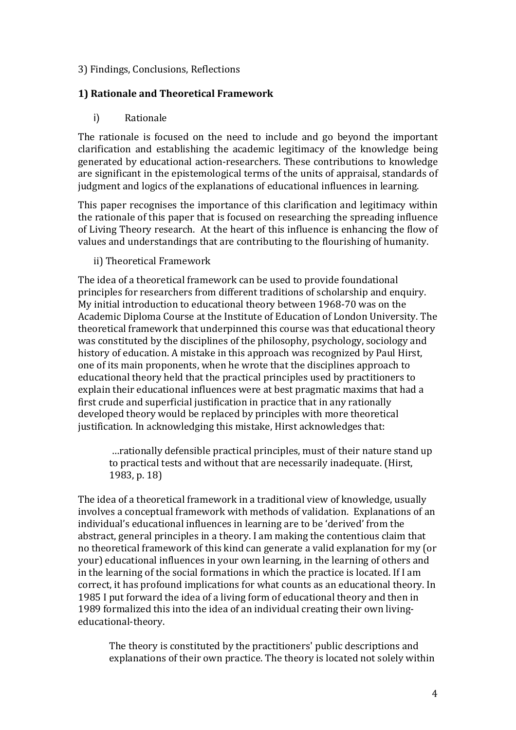### 3) Findings, Conclusions, Reflections

## **1) Rationale and Theoretical Framework**

## i) Rationale

The rationale is focused on the need to include and go beyond the important clarification and establishing the academic legitimacy of the knowledge being generated by educational action-researchers. These contributions to knowledge are significant in the epistemological terms of the units of appraisal, standards of judgment and logics of the explanations of educational influences in learning.

This paper recognises the importance of this clarification and legitimacy within the rationale of this paper that is focused on researching the spreading influence of Living Theory research. At the heart of this influence is enhancing the flow of values and understandings that are contributing to the flourishing of humanity.

### ii) Theoretical Framework

The idea of a theoretical framework can be used to provide foundational principles for researchers from different traditions of scholarship and enquiry. My initial introduction to educational theory between 1968-70 was on the Academic Diploma Course at the Institute of Education of London University. The theoretical framework that underpinned this course was that educational theory was constituted by the disciplines of the philosophy, psychology, sociology and history of education. A mistake in this approach was recognized by Paul Hirst, one of its main proponents, when he wrote that the disciplines approach to educational theory held that the practical principles used by practitioners to explain their educational influences were at best pragmatic maxims that had a first crude and superficial justification in practice that in any rationally developed theory would be replaced by principles with more theoretical justification. In acknowledging this mistake, Hirst acknowledges that:

... rationally defensible practical principles, must of their nature stand up to practical tests and without that are necessarily inadequate. (Hirst, 1983, p. 18)

The idea of a theoretical framework in a traditional view of knowledge, usually involves a conceptual framework with methods of validation. Explanations of an individual's educational influences in learning are to be 'derived' from the abstract, general principles in a theory. I am making the contentious claim that no theoretical framework of this kind can generate a valid explanation for my (or your) educational influences in your own learning, in the learning of others and in the learning of the social formations in which the practice is located. If I am correct, it has profound implications for what counts as an educational theory. In 1985 I put forward the idea of a living form of educational theory and then in 1989 formalized this into the idea of an individual creating their own livingeducational-theory.

The theory is constituted by the practitioners' public descriptions and explanations of their own practice. The theory is located not solely within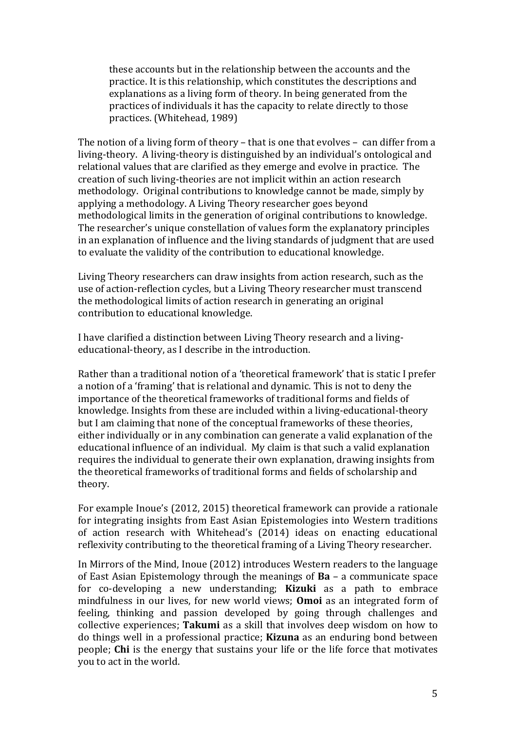these accounts but in the relationship between the accounts and the practice. It is this relationship, which constitutes the descriptions and explanations as a living form of theory. In being generated from the practices of individuals it has the capacity to relate directly to those practices. (Whitehead, 1989)

The notion of a living form of theory – that is one that evolves – can differ from a living-theory. A living-theory is distinguished by an individual's ontological and relational values that are clarified as they emerge and evolve in practice. The creation of such living-theories are not implicit within an action research methodology. Original contributions to knowledge cannot be made, simply by applying a methodology. A Living Theory researcher goes beyond methodological limits in the generation of original contributions to knowledge. The researcher's unique constellation of values form the explanatory principles in an explanation of influence and the living standards of judgment that are used to evaluate the validity of the contribution to educational knowledge.

Living Theory researchers can draw insights from action research, such as the use of action-reflection cycles, but a Living Theory researcher must transcend the methodological limits of action research in generating an original contribution to educational knowledge.

I have clarified a distinction between Living Theory research and a livingeducational-theory, as I describe in the introduction.

Rather than a traditional notion of a 'theoretical framework' that is static I prefer a notion of a 'framing' that is relational and dynamic. This is not to deny the importance of the theoretical frameworks of traditional forms and fields of knowledge. Insights from these are included within a living-educational-theory but I am claiming that none of the conceptual frameworks of these theories, either individually or in any combination can generate a valid explanation of the educational influence of an individual. My claim is that such a valid explanation requires the individual to generate their own explanation, drawing insights from the theoretical frameworks of traditional forms and fields of scholarship and theory.

For example Inoue's (2012, 2015) theoretical framework can provide a rationale for integrating insights from East Asian Epistemologies into Western traditions of action research with Whitehead's (2014) ideas on enacting educational reflexivity contributing to the theoretical framing of a Living Theory researcher.

In Mirrors of the Mind, Inoue (2012) introduces Western readers to the language of East Asian Epistemology through the meanings of  $Ba - a$  communicate space for co-developing a new understanding; **Kizuki** as a path to embrace mindfulness in our lives, for new world views; **Omoi** as an integrated form of feeling, thinking and passion developed by going through challenges and collective experiences; **Takumi** as a skill that involves deep wisdom on how to do things well in a professional practice; **Kizuna** as an enduring bond between people; **Chi** is the energy that sustains your life or the life force that motivates you to act in the world.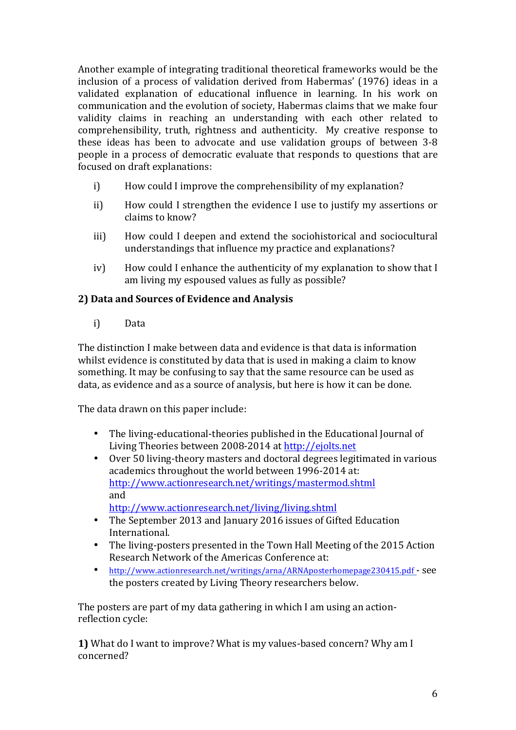Another example of integrating traditional theoretical frameworks would be the inclusion of a process of validation derived from Habermas' (1976) ideas in a validated explanation of educational influence in learning. In his work on communication and the evolution of society, Habermas claims that we make four validity claims in reaching an understanding with each other related to comprehensibility, truth, rightness and authenticity. My creative response to these ideas has been to advocate and use validation groups of between  $3-8$ people in a process of democratic evaluate that responds to questions that are focused on draft explanations:

- i) How could I improve the comprehensibility of my explanation?
- ii) How could I strengthen the evidence I use to justify my assertions or claims to know?
- iii) How could I deepen and extend the sociohistorical and sociocultural understandings that influence my practice and explanations?
- iv) How could I enhance the authenticity of my explanation to show that I am living my espoused values as fully as possible?

# **2) Data and Sources of Evidence and Analysis**

i) Data

The distinction I make between data and evidence is that data is information whilst evidence is constituted by data that is used in making a claim to know something. It may be confusing to say that the same resource can be used as data, as evidence and as a source of analysis, but here is how it can be done.

The data drawn on this paper include:

- The living-educational-theories published in the Educational Journal of Living Theories between 2008-2014 at http://ejolts.net
- Over 50 living-theory masters and doctoral degrees legitimated in various academics throughout the world between 1996-2014 at: http://www.actionresearch.net/writings/mastermod.shtml and http://www.actionresearch.net/living/living.shtml

- The September 2013 and January 2016 issues of Gifted Education International.
- The living-posters presented in the Town Hall Meeting of the 2015 Action Research Network of the Americas Conference at:
- http://www.actionresearch.net/writings/arna/ARNAposterhomepage230415.pdf see the posters created by Living Theory researchers below.

The posters are part of my data gathering in which I am using an actionreflection cycle:

**1)** What do I want to improve? What is my values-based concern? Why am I concerned?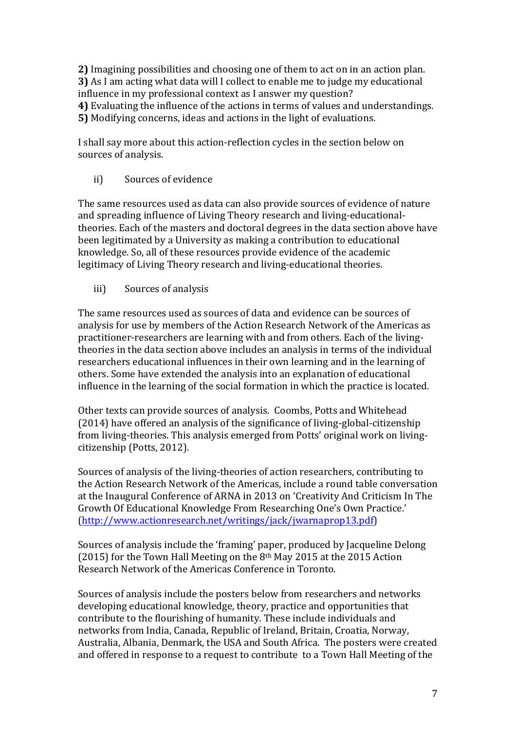**2)** Imagining possibilities and choosing one of them to act on in an action plan. **3)** As I am acting what data will I collect to enable me to judge my educational influence in my professional context as I answer my question? **4)** Evaluating the influence of the actions in terms of values and understandings. **5)** Modifying concerns, ideas and actions in the light of evaluations.

I shall say more about this action-reflection cycles in the section below on sources of analysis.

ii) Sources of evidence

The same resources used as data can also provide sources of evidence of nature and spreading influence of Living Theory research and living-educationaltheories. Each of the masters and doctoral degrees in the data section above have been legitimated by a University as making a contribution to educational knowledge. So, all of these resources provide evidence of the academic legitimacy of Living Theory research and living-educational theories.

iii) Sources of analysis

The same resources used as sources of data and evidence can be sources of analysis for use by members of the Action Research Network of the Americas as practitioner-researchers are learning with and from others. Each of the livingtheories in the data section above includes an analysis in terms of the individual researchers educational influences in their own learning and in the learning of others. Some have extended the analysis into an explanation of educational influence in the learning of the social formation in which the practice is located.

Other texts can provide sources of analysis. Coombs, Potts and Whitehead  $(2014)$  have offered an analysis of the significance of living-global-citizenship from living-theories. This analysis emerged from Potts' original work on livingcitizenship (Potts, 2012).

Sources of analysis of the living-theories of action researchers, contributing to the Action Research Network of the Americas, include a round table conversation at the Inaugural Conference of ARNA in 2013 on 'Creativity And Criticism In The Growth Of Educational Knowledge From Researching One's Own Practice.' (http://www.actionresearch.net/writings/jack/jwarnaprop13.pdf)

Sources of analysis include the 'framing' paper, produced by Jacqueline Delong (2015) for the Town Hall Meeting on the  $8<sup>th</sup>$  May 2015 at the 2015 Action Research Network of the Americas Conference in Toronto.

Sources of analysis include the posters below from researchers and networks developing educational knowledge, theory, practice and opportunities that contribute to the flourishing of humanity. These include individuals and networks from India, Canada, Republic of Ireland, Britain, Croatia, Norway, Australia, Albania, Denmark, the USA and South Africa. The posters were created and offered in response to a request to contribute to a Town Hall Meeting of the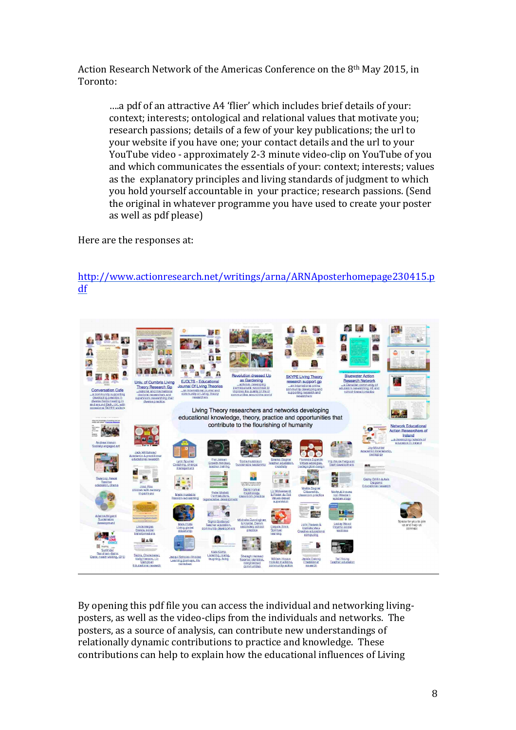Action Research Network of the Americas Conference on the 8<sup>th</sup> May 2015, in Toronto:

....a pdf of an attractive A4 'flier' which includes brief details of your: context; interests; ontological and relational values that motivate you; research passions; details of a few of your key publications; the url to your website if you have one; your contact details and the url to your YouTube video - approximately 2-3 minute video-clip on YouTube of you and which communicates the essentials of your: context; interests; values as the explanatory principles and living standards of judgment to which you hold yourself accountable in your practice; research passions. (Send the original in whatever programme you have used to create your poster as well as pdf please)

Here are the responses at:



http://www.actionresearch.net/writings/arna/ARNAposterhomepage230415.p df

By opening this pdf file you can access the individual and networking livingposters, as well as the video-clips from the individuals and networks. The posters, as a source of analysis, can contribute new understandings of relationally dynamic contributions to practice and knowledge. These contributions can help to explain how the educational influences of Living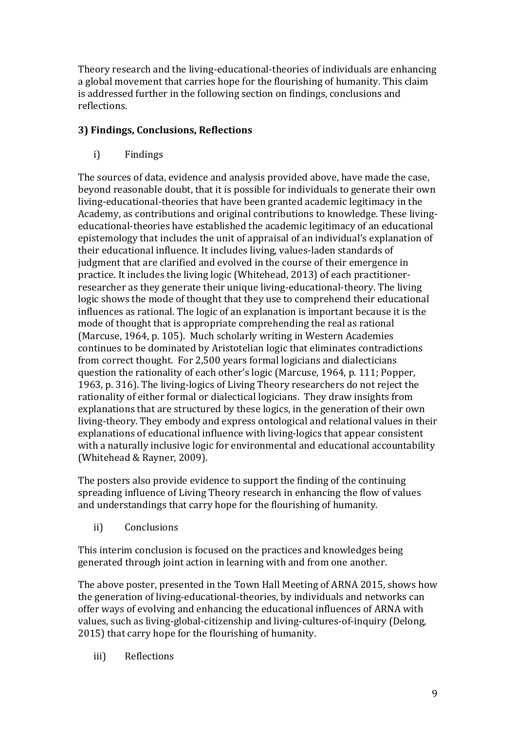Theory research and the living-educational-theories of individuals are enhancing a global movement that carries hope for the flourishing of humanity. This claim is addressed further in the following section on findings, conclusions and reflections.

# **3) Findings, Conclusions, Reflections**

i) Findings

The sources of data, evidence and analysis provided above, have made the case, beyond reasonable doubt, that it is possible for individuals to generate their own living-educational-theories that have been granted academic legitimacy in the Academy, as contributions and original contributions to knowledge. These livingeducational-theories have established the academic legitimacy of an educational epistemology that includes the unit of appraisal of an individual's explanation of their educational influence. It includes living, values-laden standards of judgment that are clarified and evolved in the course of their emergence in practice. It includes the living logic (Whitehead, 2013) of each practitionerresearcher as they generate their unique living-educational-theory. The living logic shows the mode of thought that they use to comprehend their educational influences as rational. The logic of an explanation is important because it is the mode of thought that is appropriate comprehending the real as rational (Marcuse, 1964, p. 105). Much scholarly writing in Western Academies continues to be dominated by Aristotelian logic that eliminates contradictions from correct thought. For 2,500 years formal logicians and dialecticians question the rationality of each other's logic (Marcuse, 1964, p. 111; Popper, 1963, p. 316). The living-logics of Living Theory researchers do not reject the rationality of either formal or dialectical logicians. They draw insights from explanations that are structured by these logics, in the generation of their own living-theory. They embody and express ontological and relational values in their explanations of educational influence with living-logics that appear consistent with a naturally inclusive logic for environmental and educational accountability (Whitehead & Rayner, 2009).

The posters also provide evidence to support the finding of the continuing spreading influence of Living Theory research in enhancing the flow of values and understandings that carry hope for the flourishing of humanity.

ii) Conclusions

This interim conclusion is focused on the practices and knowledges being generated through joint action in learning with and from one another.

The above poster, presented in the Town Hall Meeting of ARNA 2015, shows how the generation of living-educational-theories, by individuals and networks can offer ways of evolving and enhancing the educational influences of ARNA with values, such as living-global-citizenship and living-cultures-of-inquiry (Delong, 2015) that carry hope for the flourishing of humanity.

iii) Reflections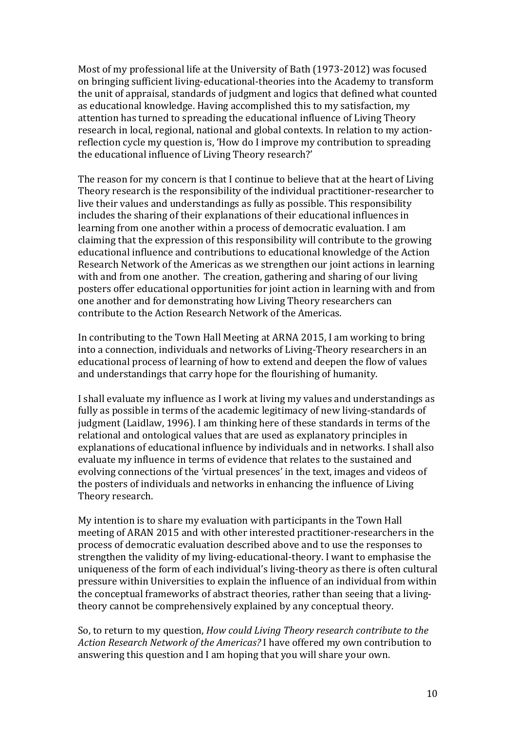Most of my professional life at the University of Bath (1973-2012) was focused on bringing sufficient living-educational-theories into the Academy to transform the unit of appraisal, standards of judgment and logics that defined what counted as educational knowledge. Having accomplished this to my satisfaction, my attention has turned to spreading the educational influence of Living Theory research in local, regional, national and global contexts. In relation to my actionreflection cycle my question is, 'How do I improve my contribution to spreading the educational influence of Living Theory research?'

The reason for my concern is that I continue to believe that at the heart of Living Theory research is the responsibility of the individual practitioner-researcher to live their values and understandings as fully as possible. This responsibility includes the sharing of their explanations of their educational influences in learning from one another within a process of democratic evaluation. I am claiming that the expression of this responsibility will contribute to the growing educational influence and contributions to educational knowledge of the Action Research Network of the Americas as we strengthen our joint actions in learning with and from one another. The creation, gathering and sharing of our living posters offer educational opportunities for joint action in learning with and from one another and for demonstrating how Living Theory researchers can contribute to the Action Research Network of the Americas.

In contributing to the Town Hall Meeting at ARNA 2015, I am working to bring into a connection, individuals and networks of Living-Theory researchers in an educational process of learning of how to extend and deepen the flow of values and understandings that carry hope for the flourishing of humanity.

I shall evaluate my influence as I work at living my values and understandings as fully as possible in terms of the academic legitimacy of new living-standards of judgment (Laidlaw, 1996). I am thinking here of these standards in terms of the relational and ontological values that are used as explanatory principles in explanations of educational influence by individuals and in networks. I shall also evaluate my influence in terms of evidence that relates to the sustained and evolving connections of the 'virtual presences' in the text, images and videos of the posters of individuals and networks in enhancing the influence of Living Theory research.

My intention is to share my evaluation with participants in the Town Hall meeting of ARAN 2015 and with other interested practitioner-researchers in the process of democratic evaluation described above and to use the responses to strengthen the validity of my living-educational-theory. I want to emphasise the uniqueness of the form of each individual's living-theory as there is often cultural pressure within Universities to explain the influence of an individual from within the conceptual frameworks of abstract theories, rather than seeing that a livingtheory cannot be comprehensively explained by any conceptual theory.

So, to return to my question, *How could Living Theory research contribute to the* Action Research Network of the Americas? I have offered my own contribution to answering this question and I am hoping that you will share your own.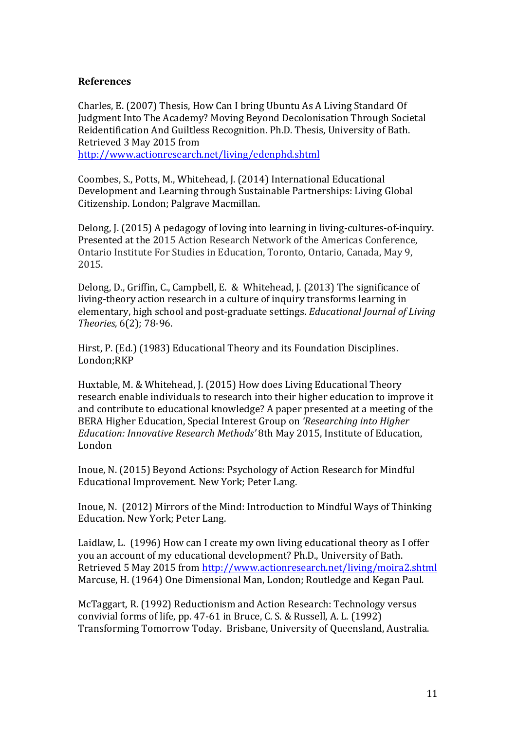#### **References**

Charles, E. (2007) Thesis, How Can I bring Ubuntu As A Living Standard Of Judgment Into The Academy? Moving Beyond Decolonisation Through Societal Reidentification And Guiltless Recognition. Ph.D. Thesis, University of Bath. Retrieved 3 May 2015 from http://www.actionresearch.net/living/edenphd.shtml

Coombes, S., Potts, M., Whitehead, J. (2014) International Educational Development and Learning through Sustainable Partnerships: Living Global Citizenship. London; Palgrave Macmillan.

Delong, J. (2015) A pedagogy of loving into learning in living-cultures-of-inquiry. Presented at the 2015 Action Research Network of the Americas Conference, Ontario Institute For Studies in Education, Toronto, Ontario, Canada, May 9, 2015.

Delong, D., Griffin, C., Campbell, E. & Whitehead, J. (2013) The significance of living-theory action research in a culture of inquiry transforms learning in elementary, high school and post-graduate settings. *Educational lournal of Living Theories,* 6(2); 78-96. 

Hirst, P. (Ed.) (1983) Educational Theory and its Foundation Disciplines. London;RKP

Huxtable, M. & Whitehead, J. (2015) How does Living Educational Theory research enable individuals to research into their higher education to improve it and contribute to educational knowledge? A paper presented at a meeting of the BERA Higher Education, Special Interest Group on *'Researching into Higher Education: Innovative Research Methods'* 8th May 2015, Institute of Education, London

Inoue, N. (2015) Beyond Actions: Psychology of Action Research for Mindful Educational Improvement. New York; Peter Lang.

Inoue, N. (2012) Mirrors of the Mind: Introduction to Mindful Ways of Thinking Education. New York; Peter Lang.

Laidlaw, L. (1996) How can I create my own living educational theory as I offer you an account of my educational development? Ph.D., University of Bath. Retrieved 5 May 2015 from http://www.actionresearch.net/living/moira2.shtml Marcuse, H. (1964) One Dimensional Man, London; Routledge and Kegan Paul.

McTaggart, R. (1992) Reductionism and Action Research: Technology versus convivial forms of life, pp.  $47-61$  in Bruce, C. S. & Russell, A. L. (1992) Transforming Tomorrow Today. Brisbane, University of Queensland, Australia.